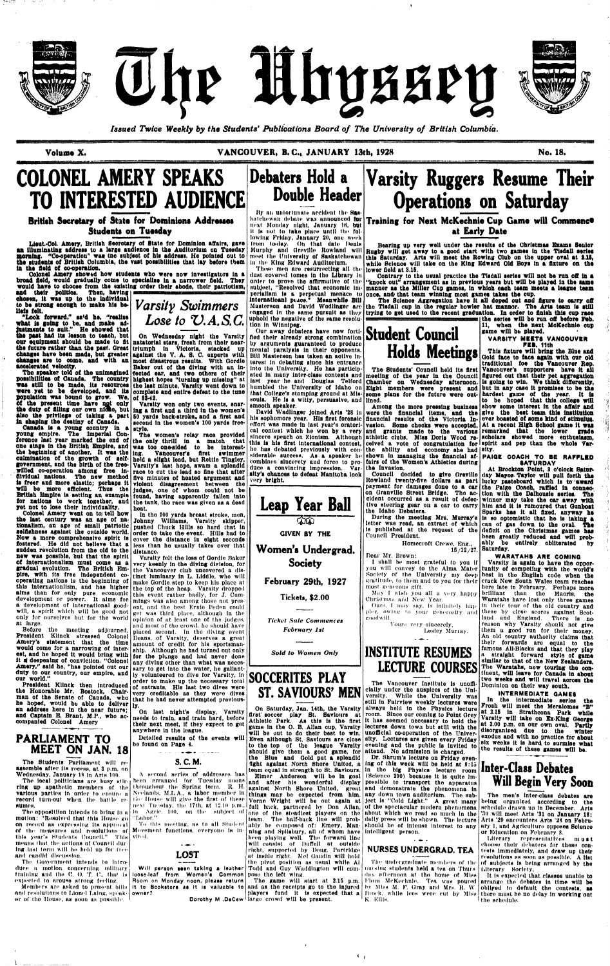





*Issued Twice Weekly by the Students' Publications Board of The University of British Columbia.* 

**Volume** X. VANCOUVER, B. C, JANUARY 13th, 1928 No. 18.



# **COLONEL AMERY SPEAKS TO INTERESTED AUDIENCE**

### **British Secretary of State for Dominions Addresses Students on Tuesday**

**Lieut.-Col. Amery, British Secretary of State for Dominion affairs, gave an illuminating address to a large audience in the Auditorium on Tuesday Boraing. "Co-operation"** waa **tne subject of his address. He pointed out to**  ths **students of British Columbia, the vast possibilities that lay before them la** ths **field ot co-operation.** 

**Colonel Amery showed how students who were now Investigators ln a broad Hold, would gradually come to specialise ln a narrower field. They would havo to choose from the existing order their abode, their patriotism,** 

aad **tholr politics. Then, having ohoson, lt** was **up to the Individual**  to be strong enough to make his be-**Uefs felt.** 

**"Look forward," sa<d he, "realise what is going to be,** and **make ad\* justments to suit." He showed that the past bad its lesson to teach, but our equipment should be made to fit our equipment should be made to fit inatatorial stars, fresh from their near-**<br>the future rather than the past. Great *criumph* in Victoria, stacked up **changes have boon made, but greater changes have been made, but greater | against the V. A. S. C. experts with <br><b>changes are to come, and with an | most disastrous results. With Gordie accelerated velocity.** 

**Tho speaker told of the unlmagtned possibilities of Canada. The country highest hopes "turning up missing" at**  was **still to bo made, its resources was still to be made, its resources** the last minute, Varsity went down to **were** yet to be developed, and its complete and entire defeat to the tune **population** waa **bound to grow. We, of 88\*42. of tho present time have not only**  of the present time have not only | Varsity won only two events, snar-<br>**the duty of filling** our own nioac, but ing a first and a third in the women's **also tbe privilege of taking a part** 

The Students Parliament will reassemble after Its recess, at. 3 p.m. on Wednesday, January 18 in Arts 100.

The local politicians are busy stir**various** parties In order to ensure a record turn-out when the battle re sutnos.

The opposition intends to bring in a  $m$ otion: "Resolved that this House  $\gcd$ on record as expressing its approval of the measures and resolutions of Movement functions, everyone is inthis year's Students Council." This means that the actions of Council dur ing last term will be keld up for free and candid discussion.

**Canada is a young country ln a Canada is a young country in a style.<br><b>young empire.** The Imperial Con**ference last year marked the end of one stage ln the British Empire, and the beginning of another. It** was **the oulmination of the growth of self\* government, and the birth of the tree-**held **a slight lead,** but Rettie **Tingley, willed co-operation among free in\* dividual nations. The new method is freer and more elastic; perhaps it will be more efficient. Thus the**  British Empire is setting an example found, having apparently fallen into for nations to work together, and the tank, the race was given as a dead **yet not to lose their Individuality. Colonel Amery went on to) tell how** 

also the privilege of taking a part [50 yards back-stroke, and a first and<br>in shaping the deatiny of Canada. I second in the women's 100 yards free**ing a flrst and a third tn the women's second In the women's 100 yards free-**

> In the 100 yards breast stroke, men, Johnny Williams, Varsity skipper, pushed Chuck Hills so hard that in order to tako the event. Hills had to cover the distance In eight seconds less than he usually takes over that distance.

Before the meeting adjourned, President Klinck stressed Colonel Deans, of Varsity, deserves a great Amery's statement that the time amount of credit for his sportsmanwould come for a narrowing of Interest, and he hoped it would bring with it a deepening of conviction. "Colonel **Amery," said** he, "has pointed out our **duty** to **our** country, our empire, and our **world."** 

this internationlism, and has higher the top of the heap. Varsity dropped alms internationism, and has higher the top of the heap. Varsity dropped<br>alms than for only pure economic this event rether hedly for L.Cum. Varsity felt the loss of Gordie Baker very keenly in the diving division, for this event rather badly, for J. Cumget was third place, although In the and most of tho crowd, he should have placed second. In the diving event ship. Although he had turned out only for the plunge and had never done any diving other than what was necessary to get into the water, he gallantly volunteered to dive for Varsity, ln order to make up the necessary total of entrants. His last two dives were that he had never attempted previously.

**President** Kllnck **then** Introduced **the** Honorable Mr. Bostock, Chair-very creditable as they were dives man of the Senate of Canada, who he hoped, would be able to deliver **an address here In** the **near future; and Captain** E. **Brant, M.P.,** who **accompanied Colonel** Amery

> **V l l**  ell. To this meeting, as to all Student

ring up apathetic members of the throughout the Spring term. R. H. be en arranged for Tuesday noons Ni 'elands. M.L.A., a labor member In lie House will give the first of these lie xt Tuesday, the 17th, at 12.10 p.m., III Agile, 100, on the subject, of " I , iibor." A second series of addresses has

**PARLIAMENT TO MEET ON JAN. 18** 

> Will person seen taking a leather loose-leaf from Women's Common pose the left wing. **Room on Monday noon, pleaaa return It to Bookstore aa It is valuable to**

By an unfortunate accident the Sasnext Monday night, January 16, b**u**t It Is not to tako place until the following Friday, January 20, one week lrom today. On Ihat date Heals Murphy and Orevllle Rowland will meet the University of Saskatchewan In the King Edward Auditorium.

**the last century was an age ot nationalism, an age of small patriotic selfishness against the outside world. Mow a more comprehensive spirit is fostered. He** did not **believe** that **a sudden revolution from the old to the**  new **was possible, but that the spirit of internationalism must come as a gradual evolution. The British Em-**the Vancouver club uncovered a dispire, with its free independent co-<br>
tinct luminary in L. Liddle, who will **operating** nations is the beginning of make Gordie step to keep his place at

The Government Intends to Introduce a motion concerning military training and the C. O. T. C., that is expected lo arouse strong feeling.

Members are asked to present hills anil resolutions to Lionel Lalng. speak-**owner?**  ni' of tho House, as soon as possible,

**On Wednesday night the Varsity triumph In Victoria, stacked up most disastrous results. With** Gordie **Baker out of the diving with an Infected ear, and two others of their complete and entire defeat to the tune** 

> toam, The half-back line will probably be composed of: Emery, Manning and Hpllsbury, all of whom have been playing well. The forward lino will consist of Duffell at outside

**The women's relay race provided the only thrill in a match that was too one-sided to be interesting. Vancouver's flrst swimmer Varsity's** last hope, **swam a** splendid **race** to cut the lead so fine that **after**  five minutes **ot heated argument and violent disagreement** between the judges, one of whom could not be heat.

subject, "Resolved that economic im- manner as the Miller Cup games, in which each team meets a league team **Contrary to the usual practice the Tlsdall series will not be run off in a "knock out" arrangement as ln previous years but will be played ln the same once, and/ that team winning most games takes** the **cup.** 

into the University. He has particip-**| The Students' Council held its first**<br>ated in many inter-class contests and **| meeting of the year in the Council** last year he and Douglas Telford Chamber on Wednesday afternoon.<br>humbled the University of Idaho on Eight members were present and that College's stamping ground at Mis-**|some plans for the future were out-**<br>soula. He is a witty, persuasive, and **lined**. **meeting of the year in the Council Bight members were present and lined.** 

> payment for damages done to a car **the Paige Coach, raffled ln connec**on Granville Street Bridge. Tho ac-**tion with the Dalhousie series. The**  cident occurred as a result of defec-winner **may take the car away with**  tive steering gear ou a car to carry **him and lt Is rumoured that Gunboat**   $15/12/27$ . Saturday. **At Brockton Point, 3 o'clock Saturday Mayo\*\*-Taylor will pull forth** tha **Iqcky pasteboard which Is to award**  Sparks **has it all fixed, anyway ho is so optomistlc that he is taking a**  can **of gas down to the oval. The**  deficit on the **Christmas games has**  been greatly reduced **and** will probably be entirely obliterated by

### **INSTITUTE RESUMES LECTURE COURSES**

The Vancouver Institute is unofficially under the auspices of the University. While the University was still in Fairview weekly lectures were always held in the Physics lecture room. Since our coming to Point Grey lt has seemed necessary to hold the lectures down towa but still with the unofficial co-operation of the University. Lectures are given every Friday

evening and the public is invited to

On last night's display, Varsity needs to train, and train hard, before their next meet, if they expect to get anywhere ln the league.

Detailed results of the events **will**  be found on Page 4.



and as the receipts go to the injured  $\mid$  by Miss M, F. Gray and Mrs, R. W. players fund it is expected that a Hrock, while Ices were cut by Miss The undergraduate members of the nursing students held a tea on Thursday afternoon at the home of Miss Flora McKechnie. Tea wns poured K. Kills,



his sophomore year. His first forensic financial results of the Victoria In- ever boasted of some kind of stimulus. effort was made in last year's oratori- vasion. Some checks were accepted, At a recent High School game it was siderable success. As a speaker he shown in managing the financial af-**PAIGE COACH TO BE RAFFLED** combines stneerety and force to pro-**fairs of** the **Women's Athletics during were the financial items, and the give the best team this institution and grants made to the various**  athletic clubs. **Miss Doris** Wood received a vote **ot congratulation for**  the ability and economy **she had**  the Invasion. **scholars showed more enthusiasm,** 

**Debaters Hold a Double Header** 

These men aro resurrecting all the dust covered tomes in the Library in order to prove the affirmative of the perialism Is a perpetual menace to **internatloanl peace." Meanwhile Bill**  Masterson and David Wodllnger are engaged In the same pursuit as they uphold the negative of the same resolution In Winnipeg.

> you will convey to the Alma Mater tunity of competing with the world's **Varsity Is again** to have **the** opporcrack New South Wales team reaches here late in February. Perhaps more brilliant than the Maoris, **the**  Waratahs have lost only three games In their tour of the old country and these by close scores against Scotland and England. There is no reason why Varsity should not give them a good run for their money. An old country authority claims that their forwards are equal to the famous All-Blacks and that they **play**  a straight forward **style ot game**  similar to that of the **New Zealanders.**  The Waratahs, now touring the continent, **will leave for Canada in about**  two **weeks and will travel across the**  Dominion on their way south.

development or power. It aims for mings was also among those not presa development of International gooda development of international good ent, and the best Ernie Peden could<br>will, a spirit which will be good not eat was third rings although in the only for ourselves but for the world only for ourselves but for the world opinion of at least one of the judges,<br>at large.

### **Inter-Class Debates Will Begin Very Soon**

Our away debaters have now fortified their already strong combination **Student Council**  by arguments guaranteed to produce mental paralysis in their opponents. Bill Masterson has taken an active Interest in debating since his entrance<br>into the University. He has participinto the University. He has participlast year he and Douglas Telford that College's stamping ground at Missmooth speaker.

> It is expected that classes unable to arrange the debates in time will be obliged to default the contests, as there must be no delay ln working out the schedule.

David Wadllnger joined Arts '28 ln cal contest which he won by a very sincere speach on Zionism. Although **this is his first international** contest, he has debated previously with conduce a convincing Impression. Varsity's chances to defeat Manitoba look very **bright.** 

**Dorothy M .DaCew**  largo crowd will be present.

katchewan delmte wns announced **for Training for Next McKechnie Cup Game will Commence at Early Date** 



### **Society**

#### February 29th, 1927

Tickets, \$2.00

*Ticket Sale Commences February 1st* 

*Sold to Women Only* 



On Saturday, **Jan. 14th,** the Varsity first' soccer play St. Saviours at Athletic Park. As this is the first game in the O. B. Allan cup, Varsity will be out to do their best to win. Even although St. Saviours are close to the top of the league Varsity should give them a good **game,** for the Blue and Gold put a splendid fight against North Shore United, a team equal in strength to St. Saviours.

Elmer Anderson will be In goal and after his wonderful display against North Shore United, groat things may be expected from him. Verne Wright will be out again at full back, partnorod hy Don Allan, one of the steadiest players on tho

right, supported hy Doug. Partridge at inside right. Mel Gaudin will hold the pivot position as usual while Al Todd and Guy Waddington will com-

The game will start at 2.15 p.m.

# **Varsity Ruggers Resume Their Operations on Saturday**

**Bearing up very well under tbe results of the Cbrlstmss Exams Senior Rugby will get away to a good start with two gamea ln the Tlsdall series this Saturday. Arts will meet the Rowing Olub on the upper oval at** 1.15, while Science will take on the King Edward Old Boys in a fixture on the **lower field at 3.16,** 

> **The Science Aggregation have it all doped out and figure to carry oft the Tlsdall cup in the regular bowler hat mannor. The Arta team is still trying to get used to the recent graduation. In order to finish this** cup **race the series will be run off before Feb.**



Council decided **to give** Orevllle Rowland twenty-five **dollars as part**  the Idaho Debaters.

During the meeting Mrs. Murray's letter was read, an extract of which is published at the request of the Council President.

Homecroft Crewe, Eng.,

Dear Mr. Brown:

1 shall be most grateful to you if Society of the University my deep Society of the University my deep|best in the English code when the<br>gratitude, to them and to you for their|crack New South Wales team reaches most generous gift.

May I wish you all *a* very happy Christmas and New Year. Ours, I may say, Is infinitely happier, owing to your generosity and goodwill. Yours very sincerely, Lesley Muriay.

**Among the more pressing business show some interest in tbe affair and**  Qold **face to face again with our old traditional foe the Vancouver Rep. Vancouver's supporters have it** all **figured out that their pet aggregation is going to win. We think differently, but ln any case it promises to be** tho **hardest game of the year. It Is to be hoped that this college will remarked that the lower grade** 

attend. No admission is charged. Dr. Shrum's lecture on Friday evening of this week will be held at 8:15 ln the big Physics lecture room (Sclenco 200) because It Is quite Impossible to transport the apparatus and demonstrate the phenomena in any down town auditorium. The subject Is "Cold Light." A great many of the spectacular modern phenomena about which we road so much In tho dally press will be shown. The lecture should be of intense interest to any Intelligent person.

### NURSES UNDERGRAD. TEA

**11, when the next McKechnie cup** 

**game will be played.** 

**VARSITY MEETS VANOOUVER**  PEE. **11th This fixture will bring the Blue and** 

**spirit and pep than the whole Varsity. SATURDAY** 

**WARATAHS ARE COMING** 

**INTERMEDIATE GAMES** 

**In** the intermediate **series the**  Frosh will meet the **Meralomas "B"**  at 2.15 **In** Strathcona **Park while Varsity will take on Bx-King Oeorge**  at 3.00 p.m. on our own oval. **Partly**  disorganized due to the exodus **and** with no practice for **about**  six **weeks it Is hard to surmise what**  the results **of** these **games will be.** 

Tho men's lnter-class debates **are**  being organised: according to the schedule drawn up In December. Arts '30 will meet Arts '31 on **January** 18; Arts '20 encounters Arts '28 on February 1, und Agriculture opposes Science or Education on February 8.

Literary representatives **must**  choose their debaters for these contests Immediately, and draw up their resolutions as soon as possible. A list of subjects Is being arranged by the Literary Society,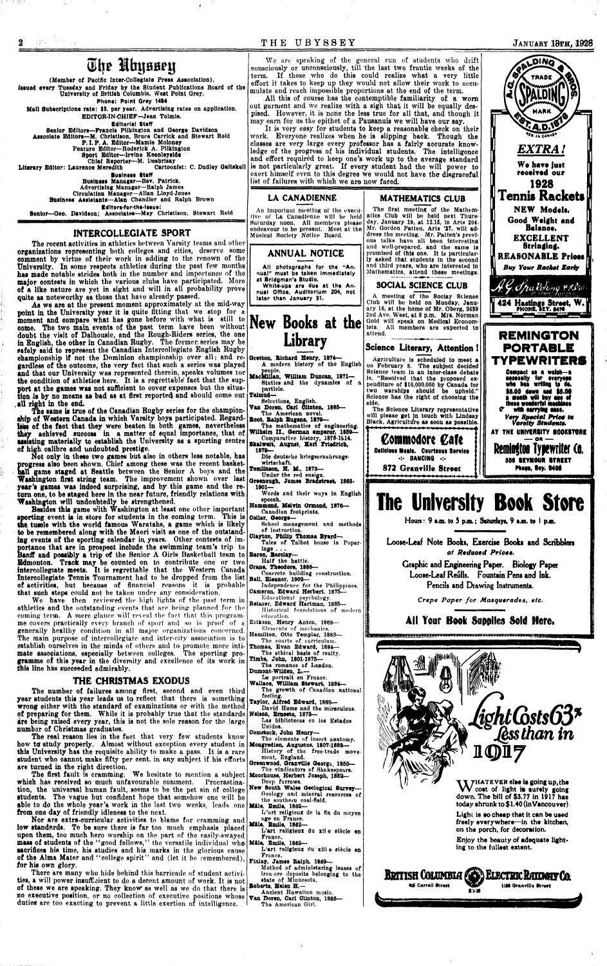#### **T H E UBYSSE Y JANUARY 13TH, 1928**

## **(Slj? Mfojaainj**

**(Member of Pacific Inter-Collegiate Press Association). Issued every Tuesday and Friday by the Student Publications Board of the University of British Columbia, West Point Orey.**  Phone: Point Qrey 1484

**Chief Reporter—M. Desbrisay**  Literary Editor: Laurence Meredith

**Mail Subscriptions rate: \$3, per year. Advertising rates on application. EDITOR-IN-CHIEF-Jean Tolmie.** 

**Editorial Staff** 

**Senior Editors—Francis Pllkington and Oeorge Davidson Assoolate Editors—M. Chrlstlson, Bruce Carrick and Stewart Reid P. I. P. A. Editor—Mamie Moloney Feature Editor—Roderick A, Pllkington** 

**Sport Editor—Irvine Keenleyside** 

**Business Staff** 

**Business Manager—Bev. Patrick. Advertising Manager—Ralph James Circulation Manager-Allan Lloyd-Jones Business Assistants—Alan Chandler and Ralph Brown Idltors-for-the-lssut:** 

Senior-Geo. Davidson; Associates--May Christison, Stewart Reid

#### **INTERCOLLEGIATE SPORT**

**Tho recent activities in athletics between Varsity tennis and other organisations representing botli colleges and cities, deserve some comment by virtue of their work in adding to the renown of the University. In some respects athletics during the past few months has made notable strides both in the number and importance of the major contests in which the various clubs havo participated. More of a like nature are yet in sight nnd will in all probability prove quite as noteworthy as those that have already passed.** 

**As we are at the present moment approximately at tho mid-way point in the University year it is quite fitting that wo stop for a**  moment and compare what has gone before with what is still to come. The two main events of the past term have been without **doubt the visit of Dalhousie, and the Rough-Riders series, the one in English, the other in Canadian Rugby. The former, series may be safely said to represent the Canadian Intercollegiate English Rugby championship if not the Dominion championship over all; and regardless of the outcome, the very fact that such a series was played and that our University was represented therein, speaks volumes tor**  the condition of athletics here. It is a regrettable fact that the support at the games was not sufficient to cover expenses but the situation is by no means as bad as at first reported and should come out *| Talmud*— **.all right in the end.** 

**The same is true of the Canadian Rugby series for the championship of Western Canada in which Varsity boys participated. Regardtabs of the faot that they were beaten in both games, nevertheless they achieved success in a matter of equal importance, that of assisting materially to establish the University aa a sporting centre of high calibre and undoubted prestige.** 

**Not only in these two games but also in others less notable, has progress also been shown. Chief among these was the recent. basket-Mil game staged at Seattle between the Senior A boys and the Washington first string team.** The improvement shown over last **year's games was indeed surprising, and by this game and the return one, to be staged here in the near future, friendly relations with Washington will undoubtedly be strengthened.** 

**We are speaking of the general run of students who drift consciously or unconsciously, till the last two frantic weeks of the term. If those who do this could realize what a very little effort it takes to keep up they would not allow their work to accu**mulate and reach impossible proportions at the end of the term.

**Besides this game with Washington at least one other important sporting event is in store for students in the coming term. This is the. tussle with the world famous Waratahs, a game which is likely to be remembered along with the Maori visit as one of the outstand**ing events of the sporting calendar in years. Other contests of importance that are in prospect include the swimming team's trip to **portance that are in prospect include the swimming team's trip to anff and possibly a trip of the Senior A Girls Basketball team to Bdmonton. Track may be counted on to contribute one or two intercollegiate meets. It is regrettable that the Western Canada Intercollegiate Tennis Tournament had to be dropped from the list of activities, but because of financial reasons it is probable** 

It is very easy for students to keep a reasonable check on their **work. Everyone realizes when he is slipping back. Though the classes are very large every professor has a fairly accurate knowledge of the progress of his individual students. The intelligence and effort required to keep one's work up to tho average standard is not particularly great. If every student had tho will power to exert himself even to this degree we would not havo the disgraceful list of failures with which we aro now faced.** 

An important meeting of the execu**tive of La Cnnadlonne will be held Saturday noon. All membera please endeavour to be present. Meet at the Musical Society Notice Board.** 

All photographs for the "Annual" must bs taken Immediately at Bridgman's Studio. White-ups are due at the An-

**that such steps could not be taken under any consideration.** 

**We have then reviewed the high lights of the past term in athletics and the outstanding events that fire being planned for the**  coming term. A mere glance will reveal the fact that this program**me covers practically every branch of sport and so is proof of a generally healthy condition in all major organizations concerned. The main purpose of intercollegiate and inter-city association is to establish ourselves in the minds of others and to promote more inti**mate associations, especially between colleges. The sporting pro**gramme of this year in the diversity and excellence of its work in this line has succeeded admirably.** 

#### **THE CHRISTMAS EXODUS**

**The number of failures among first, second and even third year students this year leads us to reflect that there is something wrong either with the standard of examinations or with the method of preparing for them. While it is probably true that the standards are being raised every year, this is not the sole reason for the large number of Christmas graduates.** 

**The real reason lies in the fact that very few students know how** *td* **study properly. Almost without exception every student in this University has the requisite ability to make a pass. It is a rare student who cannot make fifty per cent, in any subject if his efforts are turned in the right direction.** 

**The first fault is cramming. We hesitate to mention a subject whioh has received so much unfavourable comment. Procrastination, the universal human fault, seems to be the pet sin of college students. The vague but confident hope that somehow one will be**  able to do the whole year's work in the last two weeks, leads one **Mile, Emile, 1862 from one day of friendly idleness to the next.** 

**Nor are extra-curricular activities to blame for cramming and low standards. To be sure there is far too much emphasis placed upon them, too much hero worship on the part of tho easily-swayed mass of students of the "good follows," the versatile individual who Male, Bmlle, 1862 sacrifices his time, his studies and his marks in the glorious cause of the Alma Mater and "college spirit" nnd (let it be remembered), for his own glory.** 

**There are many who hide behind this barricade of student activities, a will power insuffioient to do a decent amount of work. It is not of these we are speaking. They know<sup>1</sup> as well as we do that there is no executive position, or no collection of executive positions whose**  $\mathbf{v}_{\text{an}}$  **horen, Carl Clinton, 1880 duties' are too exacting to prevent a little exertion of intelligence.** 

**All this of course has the contemptible familiarity of a worn**  out garment and we realize with a sigh that it will be equally des**pised. However, it is none the less true for all that, and though it may earn for us the epithet of a Pausanuis we will have our say.** 

#### **LA CANAPIENNE**



nual Office, Auditorium 204, not later than January 31.

## **New Books at the Library**

- **Gietton, Bichard Henry, 1874— A modern history of the English**
- **people. MacMluan, William Duncan, 1871— Statics and the dynamics of particlo.**
- 
- **Selections, English. Van Doren, Oarl Clinton, 1886—**
- **The American novel. Boot, ttalph Eugene, 1870—**
- **The mathematics of engineering.**  Wilhelm II., German emperor, 1859-
- **Comparative history, 1878-1914. ikalwelt, August, Karl friadrloa, 1879—**
- Die deutsche kriegsernahrungs**wirtschaft.**
- **TomUnson, H. M., 1873—**
- **Under tho red ensign. Oreenough, James Bradstreet, 1863-**
- **1901— Words and their ways in English**
- **speech. Hammond, Melvin Ormond, 1876—**
- **Canadian footprints. Collar, Oeorge—**
- **School management and methods of instruction.**
- **Clayton, Philip Thomas Byard— Talcs of Talbot house In Poper-**
- **inge . . . Baron, Barclay-**
- **Half tho battle.**
- **Crane, Theodore, 1886—**
- Concrete building construction. **Ball, Eleanor, 1902— Independenre for the Philippines.**

**Cameron, Edward Herbert, 1875—**  Educational psychology. Reisner, Edward Hartman, 1885-Historical foundations of modern education. **Erlkson, Henry Anton, 1889—**  Elements of mechanics. **Hamilton, Otto Templar, 1883— Tho courts of curriculum. Thomas, Evan Edward, 1884— Tho ethical basis of realty. Tlmbs, John, 1801-1875— The romance of London. Dumont-Wllden, L.— Le portrait en France. Wallace, William Stewart, 1884— Tho growth of Canadian national footing. Taylor, Alfred Edward, 1869— David Hume and the miraculous. Nelson, Ernesto, 1873— Las bibliotocas en los Estados Unidos. Oomstock, John Henry— Tho elements of insect anatomy. Mongredien, Augustus, 1807-1888— History of tho free-trade movement, England. Greenwood, Granville Oeorge, 1860— Tho vindicators of Shakespoare. Moorhouse, Herbert Joseph, 1882— Deep furrows. New South Wales Geological Survey— Goology and mineral resources of tho southern coal-field.**  L'art religioux de la fin du moyen **nge> on Franco. Male, Entile, 1862—**  L'art religieux du xii e siècle en **Franco.,**  L'art religieux du xiii e siècle en **France., rInlay, James Ralph, 1869— Method of admluistoring leases of iron-ore deposits belonging to the** 

**state of Minnesota. Roberts, Helen H.~ Van Doren, Carl Clinton, 1885— The American Girl.** 

#### **MATHEMATICS CLUB**

**Tho first moeting of the Mathematics Club wilt bo held next Thursday, January 19, at 12.15, In Arts 204. Mr. Gordon Patten, Arts '27, will address tho meeting. Mr. Patten's previous talks have all been Interesting and well-prepared, and the same Is promised of this one. It is particularly asked that students in the second and third yoars, who are interested in Mathematics, attend these meetings.** 

#### **SOCIAL SCIENCE CLUB**

**A meeting of the Sociay Science Club will be held on Monday, January 16, at the home of Mr. Oberg, 3639 2nd Ave. West, at 8 p.m. Mrs. Norman Gold will speak on Medical Economists. All members are expected to attend.** 

**MARK** 

ping

*EXTRA!* 

**We have just received our 1928**  Tennis **Rackets** 

**NEW Models. Good Weight end Belanee. EXCELLENT Stringing. REASONABLE Prices I**  *Buy Your Racket Early* 



*\eJ?.ty,d; /liiVJonq -Y-f&o*  # / oi c <-N<>n" /iiviii i • **424 Hastings Street. W. I PHONt, SET. B4TS**